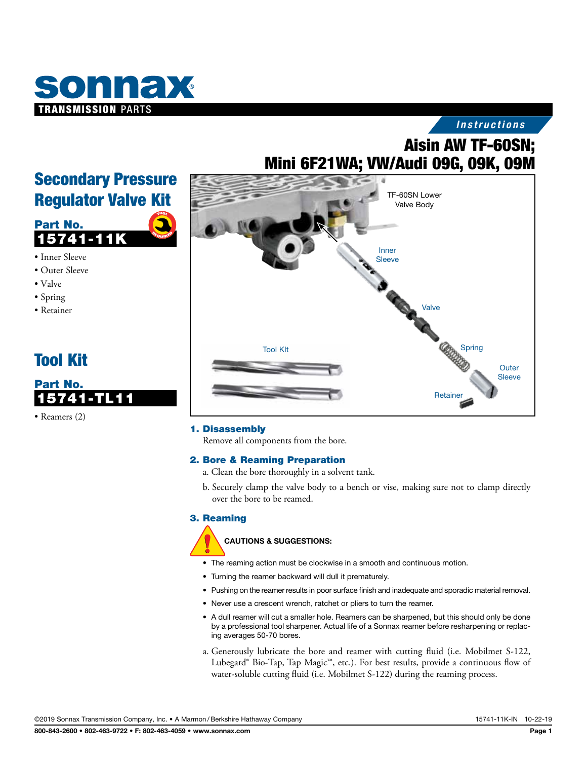

# *Instructions*

# Aisin AW TF-60SN; Mini 6F21WA; VW/Audi 09G, 09K, 09M



## 1. Disassembly

Remove all components from the bore.

## 2. Bore & Reaming Preparation

- a. Clean the bore thoroughly in a solvent tank.
- b. Securely clamp the valve body to a bench or vise, making sure not to clamp directly over the bore to be reamed.

## 3. Reaming

#### CAUTIONS & SUGGESTIONS:

- The reaming action must be clockwise in a smooth and continuous motion.
- Turning the reamer backward will dull it prematurely.
- Pushing on the reamer results in poor surface finish and inadequate and sporadic material removal.
- Never use a crescent wrench, ratchet or pliers to turn the reamer.
- A dull reamer will cut a smaller hole. Reamers can be sharpened, but this should only be done by a professional tool sharpener. Actual life of a Sonnax reamer before resharpening or replacing averages 50-70 bores.
- a. Generously lubricate the bore and reamer with cutting fluid (i.e. Mobilmet S-122, Lubegard® Bio-Tap, Tap Magic™, etc.). For best results, provide a continuous flow of water-soluble cutting fluid (i.e. Mobilmet S-122) during the reaming process.

# Secondary Pressure Regulator Valve Kit



- Inner Sleeve
- Outer Sleeve
- Valve
- Spring
- Retainer





• Reamers (2)

©2019 Sonnax Transmission Company, Inc. • A Marmon /Berkshire Hathaway Company 15741-11K-IN 10-22-19